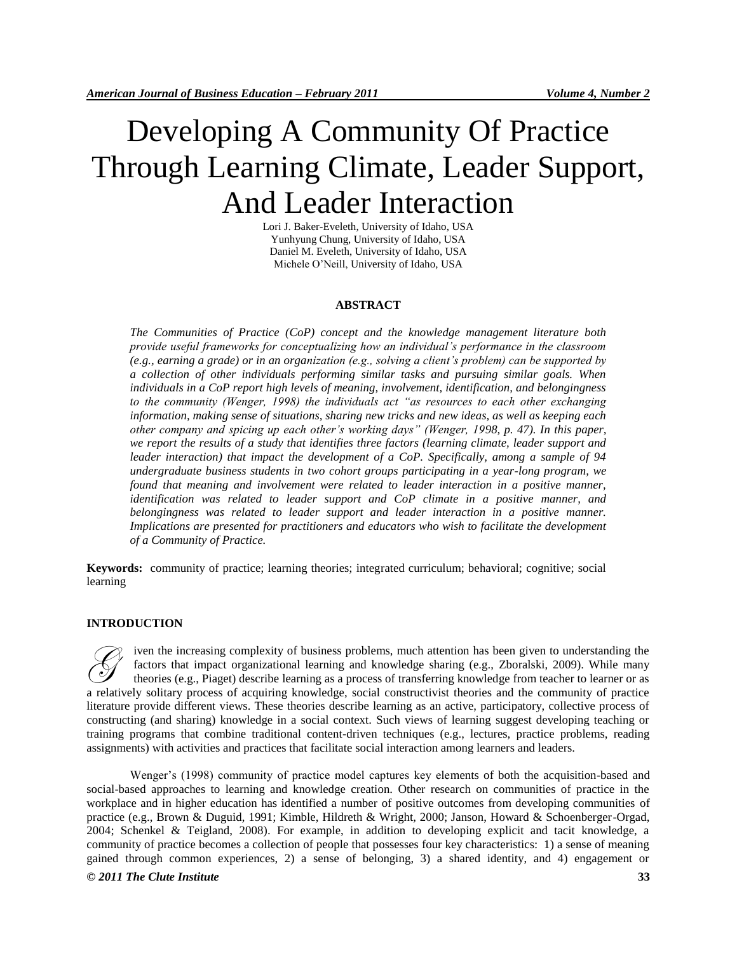# Developing A Community Of Practice Through Learning Climate, Leader Support, And Leader Interaction

Lori J. Baker-Eveleth, University of Idaho, USA Yunhyung Chung, University of Idaho, USA Daniel M. Eveleth, University of Idaho, USA Michele O"Neill, University of Idaho, USA

# **ABSTRACT**

*The Communities of Practice (CoP) concept and the knowledge management literature both provide useful frameworks for conceptualizing how an individual's performance in the classroom (e.g., earning a grade) or in an organization (e.g., solving a client's problem) can be supported by a collection of other individuals performing similar tasks and pursuing similar goals. When individuals in a CoP report high levels of meaning, involvement, identification, and belongingness to the community (Wenger, 1998) the individuals act "as resources to each other exchanging information, making sense of situations, sharing new tricks and new ideas, as well as keeping each other company and spicing up each other's working days" (Wenger, 1998, p. 47). In this paper, we report the results of a study that identifies three factors (learning climate, leader support and leader interaction) that impact the development of a CoP. Specifically, among a sample of 94 undergraduate business students in two cohort groups participating in a year-long program, we found that meaning and involvement were related to leader interaction in a positive manner, identification was related to leader support and CoP climate in a positive manner, and belongingness was related to leader support and leader interaction in a positive manner. Implications are presented for practitioners and educators who wish to facilitate the development of a Community of Practice.*

**Keywords:** community of practice; learning theories; integrated curriculum; behavioral; cognitive; social learning

#### **INTRODUCTION**

iven the increasing complexity of business problems, much attention has been given to understanding the factors that impact organizational learning and knowledge sharing (e.g., Zboralski, 2009). While many theories (e.g., Piaget) describe learning as a process of transferring knowledge from teacher to learner or as a relatively solitary process of acquiring knowledge, social constructivist theories and the community of practice literature provide different views. These theories describe learning as an active, participatory, collective process of constructing (and sharing) knowledge in a social context. Such views of learning suggest developing teaching or training programs that combine traditional content-driven techniques (e.g., lectures, practice problems, reading assignments) with activities and practices that facilitate social interaction among learners and leaders. G

*© 2011 The Clute Institute* **33** Wenger"s (1998) community of practice model captures key elements of both the acquisition-based and social-based approaches to learning and knowledge creation. Other research on communities of practice in the workplace and in higher education has identified a number of positive outcomes from developing communities of practice (e.g., Brown & Duguid, 1991; Kimble, Hildreth & Wright, 2000; Janson, Howard & Schoenberger-Orgad, 2004; Schenkel & Teigland, 2008). For example, in addition to developing explicit and tacit knowledge, a community of practice becomes a collection of people that possesses four key characteristics: 1) a sense of meaning gained through common experiences, 2) a sense of belonging, 3) a shared identity, and 4) engagement or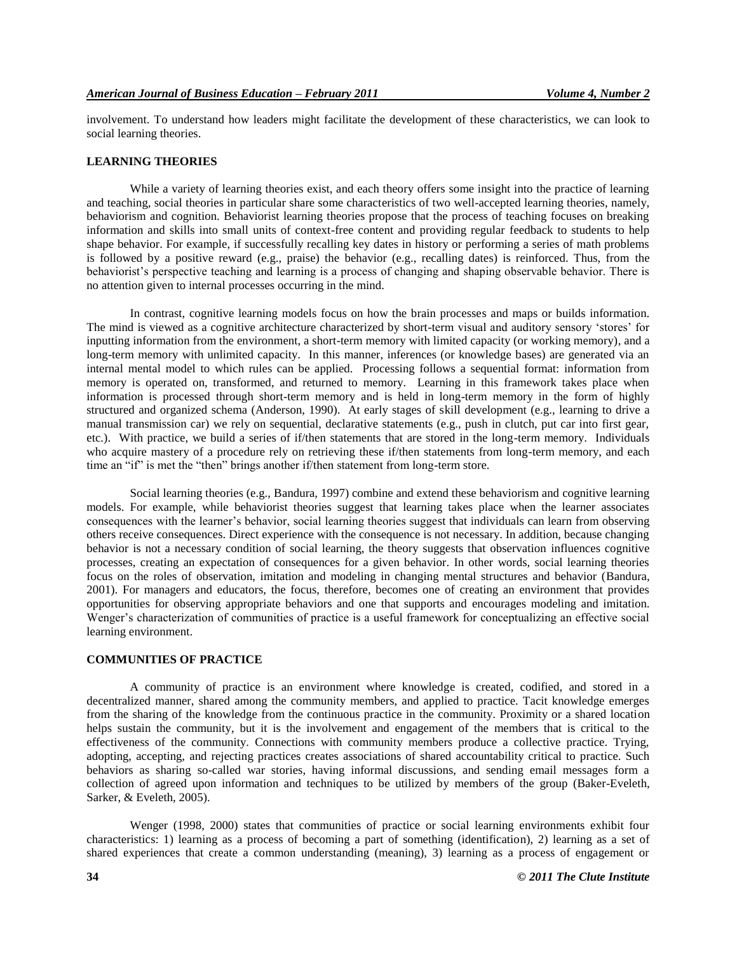involvement. To understand how leaders might facilitate the development of these characteristics, we can look to social learning theories.

#### **LEARNING THEORIES**

While a variety of learning theories exist, and each theory offers some insight into the practice of learning and teaching, social theories in particular share some characteristics of two well-accepted learning theories, namely, behaviorism and cognition. Behaviorist learning theories propose that the process of teaching focuses on breaking information and skills into small units of context-free content and providing regular feedback to students to help shape behavior. For example, if successfully recalling key dates in history or performing a series of math problems is followed by a positive reward (e.g., praise) the behavior (e.g., recalling dates) is reinforced. Thus, from the behaviorist's perspective teaching and learning is a process of changing and shaping observable behavior. There is no attention given to internal processes occurring in the mind.

In contrast, cognitive learning models focus on how the brain processes and maps or builds information. The mind is viewed as a cognitive architecture characterized by short-term visual and auditory sensory "stores" for inputting information from the environment, a short-term memory with limited capacity (or working memory), and a long-term memory with unlimited capacity. In this manner, inferences (or knowledge bases) are generated via an internal mental model to which rules can be applied. Processing follows a sequential format: information from memory is operated on, transformed, and returned to memory. Learning in this framework takes place when information is processed through short-term memory and is held in long-term memory in the form of highly structured and organized schema (Anderson, 1990). At early stages of skill development (e.g., learning to drive a manual transmission car) we rely on sequential, declarative statements (e.g., push in clutch, put car into first gear, etc.). With practice, we build a series of if/then statements that are stored in the long-term memory. Individuals who acquire mastery of a procedure rely on retrieving these if/then statements from long-term memory, and each time an "if" is met the "then" brings another if/then statement from long-term store.

Social learning theories (e.g., Bandura, 1997) combine and extend these behaviorism and cognitive learning models. For example, while behaviorist theories suggest that learning takes place when the learner associates consequences with the learner"s behavior, social learning theories suggest that individuals can learn from observing others receive consequences. Direct experience with the consequence is not necessary. In addition, because changing behavior is not a necessary condition of social learning, the theory suggests that observation influences cognitive processes, creating an expectation of consequences for a given behavior. In other words, social learning theories focus on the roles of observation, imitation and modeling in changing mental structures and behavior [\(Bandura,](http://rer.sagepub.com/cgi/content/full/79/2/625#B15-0790625)  [2001\)](http://rer.sagepub.com/cgi/content/full/79/2/625#B15-0790625). For managers and educators, the focus, therefore, becomes one of creating an environment that provides opportunities for observing appropriate behaviors and one that supports and encourages modeling and imitation. Wenger"s characterization of communities of practice is a useful framework for conceptualizing an effective social learning environment.

# **COMMUNITIES OF PRACTICE**

A community of practice is an environment where knowledge is created, codified, and stored in a decentralized manner, shared among the community members, and applied to practice. Tacit knowledge emerges from the sharing of the knowledge from the continuous practice in the community. Proximity or a shared location helps sustain the community, but it is the involvement and engagement of the members that is critical to the effectiveness of the community. Connections with community members produce a collective practice. Trying, adopting, accepting, and rejecting practices creates associations of shared accountability critical to practice. Such behaviors as sharing so-called war stories, having informal discussions, and sending email messages form a collection of agreed upon information and techniques to be utilized by members of the group (Baker-Eveleth, Sarker, & Eveleth, 2005).

Wenger (1998, 2000) states that communities of practice or social learning environments exhibit four characteristics: 1) learning as a process of becoming a part of something (identification), 2) learning as a set of shared experiences that create a common understanding (meaning), 3) learning as a process of engagement or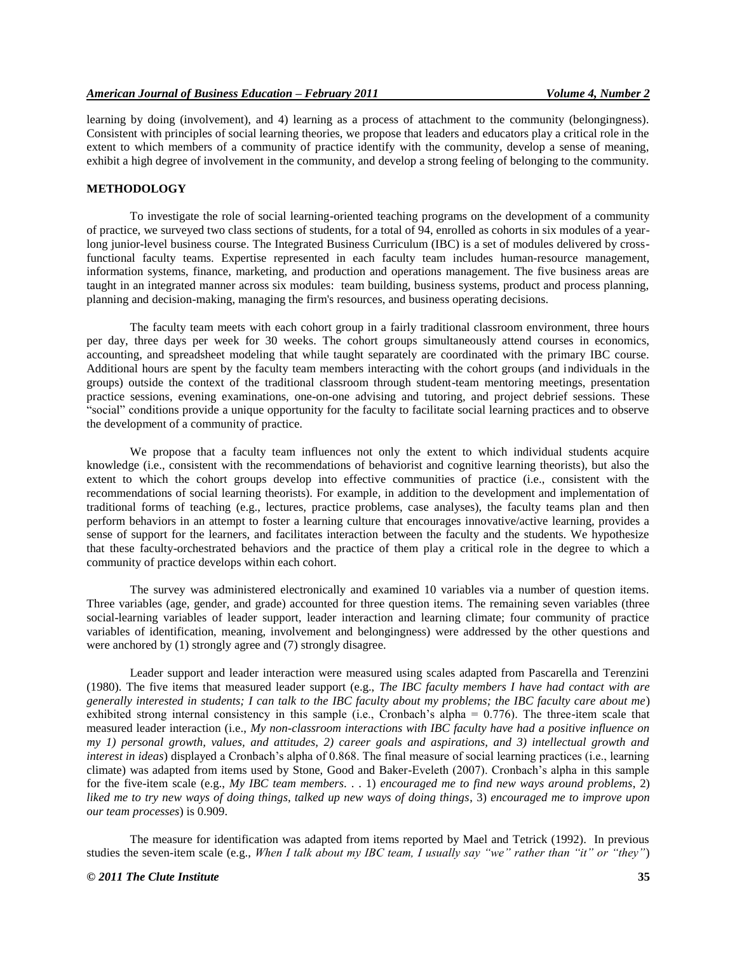learning by doing (involvement), and 4) learning as a process of attachment to the community (belongingness). Consistent with principles of social learning theories, we propose that leaders and educators play a critical role in the extent to which members of a community of practice identify with the community, develop a sense of meaning, exhibit a high degree of involvement in the community, and develop a strong feeling of belonging to the community.

# **METHODOLOGY**

To investigate the role of social learning-oriented teaching programs on the development of a community of practice, we surveyed two class sections of students, for a total of 94, enrolled as cohorts in six modules of a yearlong junior-level business course. The Integrated Business Curriculum (IBC) is a set of modules delivered by crossfunctional faculty teams. Expertise represented in each faculty team includes human-resource management, information systems, finance, marketing, and production and operations management. The five business areas are taught in an integrated manner across six modules: team building, business systems, product and process planning, planning and decision-making, managing the firm's resources, and business operating decisions.

The faculty team meets with each cohort group in a fairly traditional classroom environment, three hours per day, three days per week for 30 weeks. The cohort groups simultaneously attend courses in economics, accounting, and spreadsheet modeling that while taught separately are coordinated with the primary IBC course. Additional hours are spent by the faculty team members interacting with the cohort groups (and individuals in the groups) outside the context of the traditional classroom through student-team mentoring meetings, presentation practice sessions, evening examinations, one-on-one advising and tutoring, and project debrief sessions. These "social" conditions provide a unique opportunity for the faculty to facilitate social learning practices and to observe the development of a community of practice.

We propose that a faculty team influences not only the extent to which individual students acquire knowledge (i.e., consistent with the recommendations of behaviorist and cognitive learning theorists), but also the extent to which the cohort groups develop into effective communities of practice (i.e., consistent with the recommendations of social learning theorists). For example, in addition to the development and implementation of traditional forms of teaching (e.g., lectures, practice problems, case analyses), the faculty teams plan and then perform behaviors in an attempt to foster a learning culture that encourages innovative/active learning, provides a sense of support for the learners, and facilitates interaction between the faculty and the students. We hypothesize that these faculty-orchestrated behaviors and the practice of them play a critical role in the degree to which a community of practice develops within each cohort.

The survey was administered electronically and examined 10 variables via a number of question items. Three variables (age, gender, and grade) accounted for three question items. The remaining seven variables (three social-learning variables of leader support, leader interaction and learning climate; four community of practice variables of identification, meaning, involvement and belongingness) were addressed by the other questions and were anchored by (1) strongly agree and (7) strongly disagree.

Leader support and leader interaction were measured using scales adapted from Pascarella and Terenzini (1980). The five items that measured leader support (e.g., *The IBC faculty members I have had contact with are generally interested in students; I can talk to the IBC faculty about my problems; the IBC faculty care about me*) exhibited strong internal consistency in this sample (i.e., Cronbach's alpha = 0.776). The three-item scale that measured leader interaction (i.e., *My non-classroom interactions with IBC faculty have had a positive influence on my 1) personal growth, values, and attitudes, 2) career goals and aspirations, and 3) intellectual growth and interest in ideas*) displayed a Cronbach's alpha of 0.868. The final measure of social learning practices (i.e., learning climate) was adapted from items used by Stone, Good and Baker-Eveleth (2007). Cronbach"s alpha in this sample for the five-item scale (e.g., *My IBC team members*. . . 1) *encouraged me to find new ways around problems*, 2) *liked me to try new ways of doing things, talked up new ways of doing things*, 3) *encouraged me to improve upon our team processes*) is 0.909.

The measure for identification was adapted from items reported by Mael and Tetrick (1992). In previous studies the seven-item scale (e.g., *When I talk about my IBC team, I usually say "we" rather than "it" or "they"*)

#### *© 2011 The Clute Institute* **35**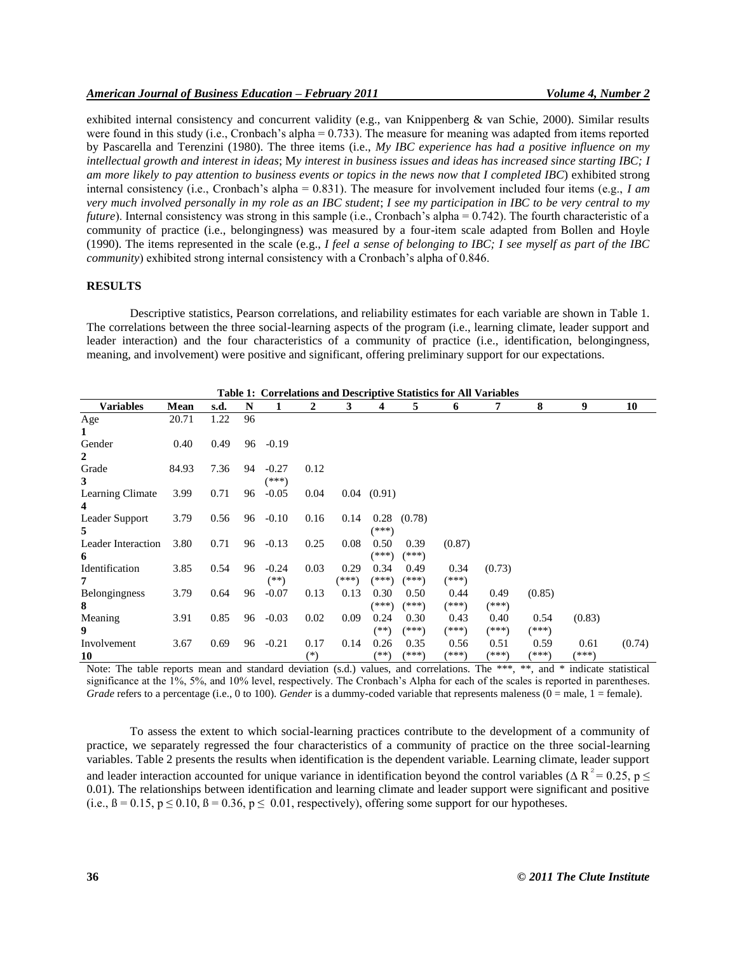exhibited internal consistency and concurrent validity (e.g., van Knippenberg & van Schie, 2000). Similar results were found in this study (i.e., Cronbach's alpha = 0.733). The measure for meaning was adapted from items reported by Pascarella and Terenzini (1980). The three items (i.e., *My IBC experience has had a positive influence on my intellectual growth and interest in ideas*; M*y interest in business issues and ideas has increased since starting IBC; I am more likely to pay attention to business events or topics in the news now that I completed IBC*) exhibited strong internal consistency (i.e., Cronbach's alpha =  $0.831$ ). The measure for involvement included four items (e.g., *I am very much involved personally in my role as an IBC student*; *I see my participation in IBC to be very central to my future*). Internal consistency was strong in this sample (i.e., Cronbach's alpha = 0.742). The fourth characteristic of a community of practice (i.e., belongingness) was measured by a four-item scale adapted from Bollen and Hoyle (1990). The items represented in the scale (e.g., *I feel a sense of belonging to IBC; I see myself as part of the IBC community*) exhibited strong internal consistency with a Cronbach's alpha of 0.846.

# **RESULTS**

Descriptive statistics, Pearson correlations, and reliability estimates for each variable are shown in Table 1. The correlations between the three social-learning aspects of the program (i.e., learning climate, leader support and leader interaction) and the four characteristics of a community of practice (i.e., identification, belongingness, meaning, and involvement) were positive and significant, offering preliminary support for our expectations.

|                      | <b>Table 1: Correlations and Descriptive Statistics for All Variables</b> |      |    |         |          |       |                 |                 |        |         |        |        |        |
|----------------------|---------------------------------------------------------------------------|------|----|---------|----------|-------|-----------------|-----------------|--------|---------|--------|--------|--------|
| <b>Variables</b>     | Mean                                                                      | s.d. | N  |         | 2        | 3     | 4               | 5               | 6      | 7       | 8      | 9      | 10     |
| Age                  | 20.71                                                                     | 1.22 | 96 |         |          |       |                 |                 |        |         |        |        |        |
| 1                    |                                                                           |      |    |         |          |       |                 |                 |        |         |        |        |        |
| Gender               | 0.40                                                                      | 0.49 | 96 | $-0.19$ |          |       |                 |                 |        |         |        |        |        |
| $\mathbf{2}$         |                                                                           |      |    |         |          |       |                 |                 |        |         |        |        |        |
| Grade                | 84.93                                                                     | 7.36 | 94 | $-0.27$ | 0.12     |       |                 |                 |        |         |        |        |        |
| 3                    |                                                                           |      |    | $(***)$ |          |       |                 |                 |        |         |        |        |        |
| Learning Climate     | 3.99                                                                      | 0.71 | 96 | $-0.05$ | 0.04     |       | $0.04$ $(0.91)$ |                 |        |         |        |        |        |
| 4                    |                                                                           |      |    |         |          |       |                 |                 |        |         |        |        |        |
| Leader Support       | 3.79                                                                      | 0.56 | 96 | $-0.10$ | 0.16     | 0.14  |                 | $0.28$ $(0.78)$ |        |         |        |        |        |
| 5.                   |                                                                           |      |    |         |          |       | (***)           |                 |        |         |        |        |        |
| Leader Interaction   | 3.80                                                                      | 0.71 | 96 | $-0.13$ | 0.25     | 0.08  | 0.50            | 0.39            | (0.87) |         |        |        |        |
| 6                    |                                                                           |      |    |         |          |       | (***)           | (***)           |        |         |        |        |        |
| Identification       | 3.85                                                                      | 0.54 | 96 | $-0.24$ | 0.03     | 0.29  | 0.34            | 0.49            | 0.34   | (0.73)  |        |        |        |
| 7                    |                                                                           |      |    | (**)    |          | (***) | $(***)$         | (***)           | (***)  |         |        |        |        |
| <b>Belongingness</b> | 3.79                                                                      | 0.64 | 96 | $-0.07$ | 0.13     | 0.13  | 0.30            | 0.50            | 0.44   | 0.49    | (0.85) |        |        |
| 8                    |                                                                           |      |    |         |          |       | (***)           | (***)           | (***)  | $(***)$ |        |        |        |
| Meaning              | 3.91                                                                      | 0.85 | 96 | $-0.03$ | 0.02     | 0.09  | 0.24            | 0.30            | 0.43   | 0.40    | 0.54   | (0.83) |        |
| 9                    |                                                                           |      |    |         |          |       | $(**)$          | $(***)$         | (***)  | (***)   | (***)  |        |        |
| Involvement          | 3.67                                                                      | 0.69 | 96 | $-0.21$ | 0.17     | 0.14  | 0.26            | 0.35            | 0.56   | 0.51    | 0.59   | 0.61   | (0.74) |
| 10                   |                                                                           |      |    |         | $^{(*)}$ |       | $(**)$          | (***)           | (***)  | (***)   | (***)  | (***)  |        |

Note: The table reports mean and standard deviation (s.d.) values, and correlations. The \*\*\*, \*\*, and \* indicate statistical significance at the 1%, 5%, and 10% level, respectively. The Cronbach's Alpha for each of the scales is reported in parentheses. *Grade* refers to a percentage (i.e., 0 to 100). *Gender* is a dummy-coded variable that represents maleness (0 = male, 1 = female).

To assess the extent to which social-learning practices contribute to the development of a community of practice, we separately regressed the four characteristics of a community of practice on the three social-learning variables. Table 2 presents the results when identification is the dependent variable. Learning climate, leader support and leader interaction accounted for unique variance in identification beyond the control variables ( $\Delta R^2 = 0.25$ , p  $\leq$ 0.01). The relationships between identification and learning climate and leader support were significant and positive (i.e.,  $\beta = 0.15$ ,  $p \le 0.10$ ,  $\beta = 0.36$ ,  $p \le 0.01$ , respectively), offering some support for our hypotheses.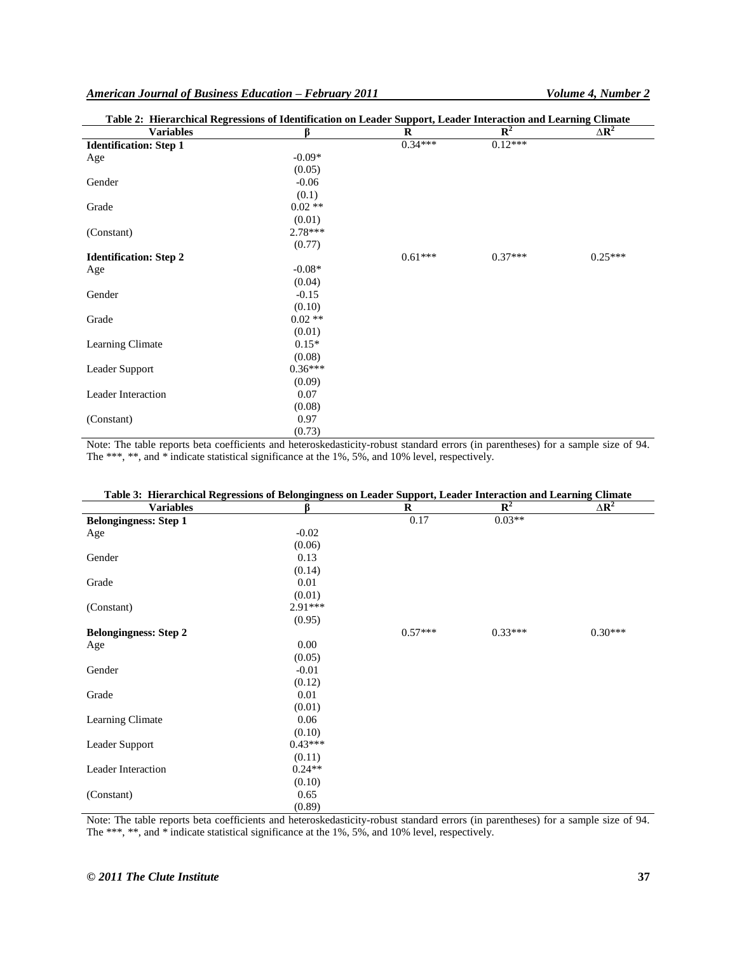|                               | Table 2: Hierarchical Regressions of Identification on Leader Support, Leader Interaction and Learning Climate |           |             |              |  |
|-------------------------------|----------------------------------------------------------------------------------------------------------------|-----------|-------------|--------------|--|
| <b>Variables</b>              | ß                                                                                                              | R         | ${\bf R}^2$ | $\Delta R^2$ |  |
| <b>Identification: Step 1</b> |                                                                                                                | $0.34***$ | $0.12***$   |              |  |
| Age                           | $-0.09*$                                                                                                       |           |             |              |  |
|                               | (0.05)                                                                                                         |           |             |              |  |
| Gender                        | $-0.06$                                                                                                        |           |             |              |  |
|                               | (0.1)                                                                                                          |           |             |              |  |
| Grade                         | $0.02**$                                                                                                       |           |             |              |  |
|                               | (0.01)                                                                                                         |           |             |              |  |
| (Constant)                    | $2.78***$                                                                                                      |           |             |              |  |
|                               | (0.77)                                                                                                         |           |             |              |  |
| <b>Identification: Step 2</b> |                                                                                                                | $0.61***$ | $0.37***$   | $0.25***$    |  |
| Age                           | $-0.08*$                                                                                                       |           |             |              |  |
|                               | (0.04)                                                                                                         |           |             |              |  |
| Gender                        | $-0.15$                                                                                                        |           |             |              |  |
|                               | (0.10)                                                                                                         |           |             |              |  |
| Grade                         | $0.02**$                                                                                                       |           |             |              |  |
|                               | (0.01)                                                                                                         |           |             |              |  |
| Learning Climate              | $0.15*$                                                                                                        |           |             |              |  |
|                               | (0.08)                                                                                                         |           |             |              |  |
| Leader Support                | $0.36***$                                                                                                      |           |             |              |  |
|                               | (0.09)                                                                                                         |           |             |              |  |
| Leader Interaction            | 0.07                                                                                                           |           |             |              |  |
|                               | (0.08)                                                                                                         |           |             |              |  |
| (Constant)                    | 0.97                                                                                                           |           |             |              |  |
|                               | (0.73)                                                                                                         |           |             |              |  |

Note: The table reports beta coefficients and heteroskedasticity-robust standard errors (in parentheses) for a sample size of 94. The \*\*\*, \*\*, and \* indicate statistical significance at the 1%, 5%, and 10% level, respectively.

| Table 3: Hierarchical Regressions of Belongingness on Leader Support, Leader Interaction and Learning Climate |           |           |                |                                |  |
|---------------------------------------------------------------------------------------------------------------|-----------|-----------|----------------|--------------------------------|--|
| <b>Variables</b>                                                                                              | ß         | $\bf{R}$  | $\mathbf{R}^2$ | $\Delta$ <b>R</b> <sup>2</sup> |  |
| <b>Belongingness: Step 1</b>                                                                                  |           | 0.17      | $0.03**$       |                                |  |
| Age                                                                                                           | $-0.02$   |           |                |                                |  |
|                                                                                                               | (0.06)    |           |                |                                |  |
| Gender                                                                                                        | 0.13      |           |                |                                |  |
|                                                                                                               | (0.14)    |           |                |                                |  |
| Grade                                                                                                         | 0.01      |           |                |                                |  |
|                                                                                                               | (0.01)    |           |                |                                |  |
| (Constant)                                                                                                    | $2.91***$ |           |                |                                |  |
|                                                                                                               | (0.95)    |           |                |                                |  |
| <b>Belongingness: Step 2</b>                                                                                  |           | $0.57***$ | $0.33***$      | $0.30***$                      |  |
| Age                                                                                                           | 0.00      |           |                |                                |  |
|                                                                                                               | (0.05)    |           |                |                                |  |
| Gender                                                                                                        | $-0.01$   |           |                |                                |  |
|                                                                                                               | (0.12)    |           |                |                                |  |
| Grade                                                                                                         | 0.01      |           |                |                                |  |
|                                                                                                               | (0.01)    |           |                |                                |  |
| Learning Climate                                                                                              | 0.06      |           |                |                                |  |
|                                                                                                               | (0.10)    |           |                |                                |  |
| Leader Support                                                                                                | $0.43***$ |           |                |                                |  |
|                                                                                                               | (0.11)    |           |                |                                |  |
| Leader Interaction                                                                                            | $0.24**$  |           |                |                                |  |
|                                                                                                               | (0.10)    |           |                |                                |  |
| (Constant)                                                                                                    | 0.65      |           |                |                                |  |
|                                                                                                               | (0.89)    |           |                |                                |  |

Note: The table reports beta coefficients and heteroskedasticity-robust standard errors (in parentheses) for a sample size of 94. The \*\*\*, \*\*, and \* indicate statistical significance at the 1%, 5%, and 10% level, respectively.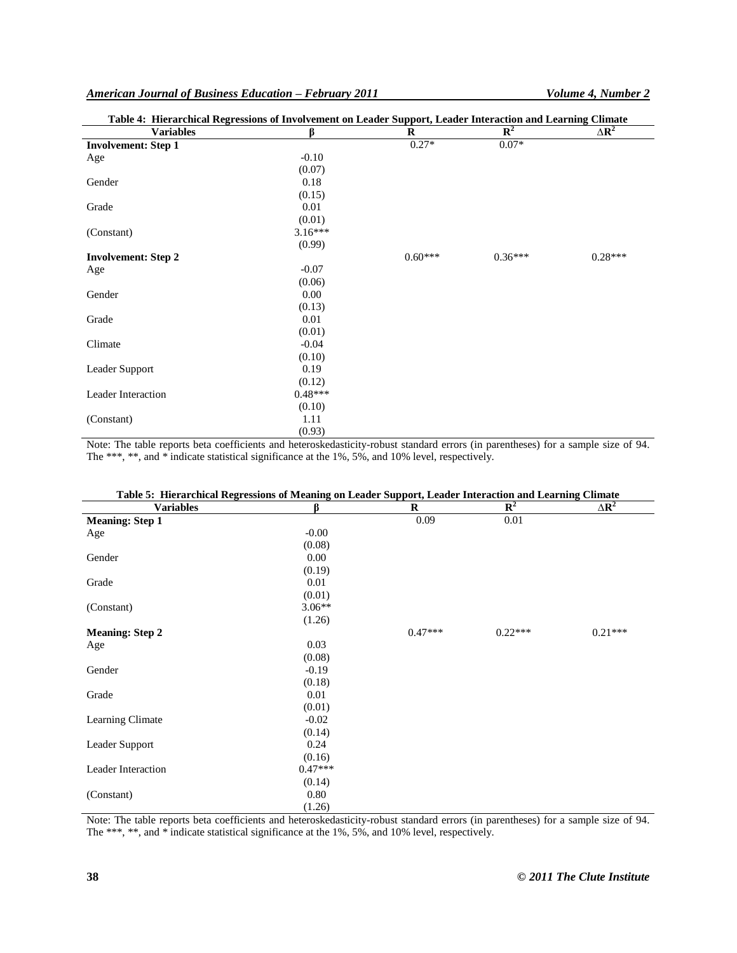| Table 4: Hierarchical Regressions of Involvement on Leader Support, Leader Interaction and Learning Climate |           |           |                |                         |
|-------------------------------------------------------------------------------------------------------------|-----------|-----------|----------------|-------------------------|
| <b>Variables</b>                                                                                            | ß         | $\bf R$   | $\mathbf{R}^2$ | $\Delta$ R <sup>2</sup> |
| <b>Involvement: Step 1</b>                                                                                  |           | $0.27*$   | $0.07*$        |                         |
| Age                                                                                                         | $-0.10$   |           |                |                         |
|                                                                                                             | (0.07)    |           |                |                         |
| Gender                                                                                                      | 0.18      |           |                |                         |
|                                                                                                             | (0.15)    |           |                |                         |
| Grade                                                                                                       | 0.01      |           |                |                         |
|                                                                                                             | (0.01)    |           |                |                         |
| (Constant)                                                                                                  | $3.16***$ |           |                |                         |
|                                                                                                             | (0.99)    |           |                |                         |
| <b>Involvement: Step 2</b>                                                                                  |           | $0.60***$ | $0.36***$      | $0.28***$               |
| Age                                                                                                         | $-0.07$   |           |                |                         |
|                                                                                                             | (0.06)    |           |                |                         |
| Gender                                                                                                      | 0.00      |           |                |                         |
|                                                                                                             | (0.13)    |           |                |                         |
| Grade                                                                                                       | 0.01      |           |                |                         |
|                                                                                                             | (0.01)    |           |                |                         |
| Climate                                                                                                     | $-0.04$   |           |                |                         |
|                                                                                                             | (0.10)    |           |                |                         |
| Leader Support                                                                                              | 0.19      |           |                |                         |
|                                                                                                             | (0.12)    |           |                |                         |
| Leader Interaction                                                                                          | $0.48***$ |           |                |                         |
|                                                                                                             | (0.10)    |           |                |                         |
| (Constant)                                                                                                  | 1.11      |           |                |                         |
|                                                                                                             | (0.93)    |           |                |                         |

Note: The table reports beta coefficients and heteroskedasticity-robust standard errors (in parentheses) for a sample size of 94. The \*\*\*, \*\*, and \* indicate statistical significance at the 1%, 5%, and 10% level, respectively.

| Table 5: Hierarchical Regressions of Meaning on Leader Support, Leader Interaction and Learning Climate<br><b>Variables</b> | ß         | $\bf R$   | $\mathbb{R}^2$ | $\Delta R^2$ |
|-----------------------------------------------------------------------------------------------------------------------------|-----------|-----------|----------------|--------------|
| <b>Meaning: Step 1</b>                                                                                                      |           | 0.09      | 0.01           |              |
| Age                                                                                                                         | $-0.00$   |           |                |              |
|                                                                                                                             | (0.08)    |           |                |              |
| Gender                                                                                                                      | 0.00      |           |                |              |
|                                                                                                                             | (0.19)    |           |                |              |
| Grade                                                                                                                       | 0.01      |           |                |              |
|                                                                                                                             | (0.01)    |           |                |              |
| (Constant)                                                                                                                  | $3.06**$  |           |                |              |
|                                                                                                                             | (1.26)    |           |                |              |
| <b>Meaning: Step 2</b>                                                                                                      |           | $0.47***$ | $0.22***$      | $0.21***$    |
| Age                                                                                                                         | 0.03      |           |                |              |
|                                                                                                                             | (0.08)    |           |                |              |
| Gender                                                                                                                      | $-0.19$   |           |                |              |
|                                                                                                                             | (0.18)    |           |                |              |
| Grade                                                                                                                       | 0.01      |           |                |              |
|                                                                                                                             | (0.01)    |           |                |              |
| Learning Climate                                                                                                            | $-0.02$   |           |                |              |
|                                                                                                                             | (0.14)    |           |                |              |
| Leader Support                                                                                                              | 0.24      |           |                |              |
|                                                                                                                             | (0.16)    |           |                |              |
| Leader Interaction                                                                                                          | $0.47***$ |           |                |              |
|                                                                                                                             | (0.14)    |           |                |              |
| (Constant)                                                                                                                  | 0.80      |           |                |              |
|                                                                                                                             | (1.26)    |           |                |              |

Note: The table reports beta coefficients and heteroskedasticity-robust standard errors (in parentheses) for a sample size of 94. The \*\*\*, \*\*, and \* indicate statistical significance at the 1%, 5%, and 10% level, respectively.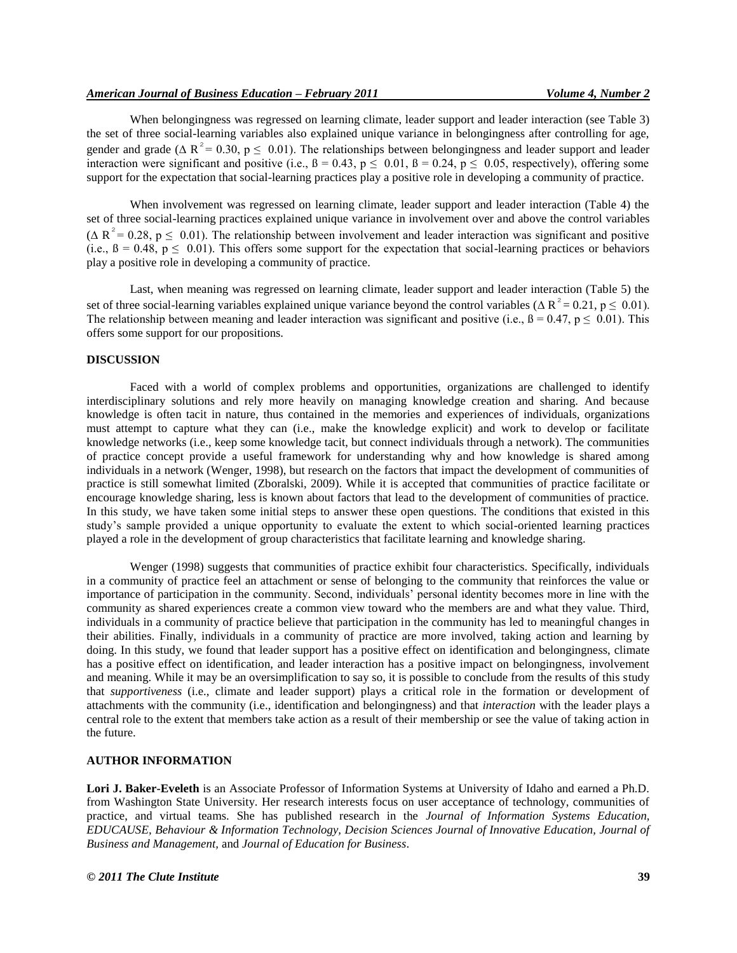When belongingness was regressed on learning climate, leader support and leader interaction (see Table 3) the set of three social-learning variables also explained unique variance in belongingness after controlling for age, gender and grade ( $\Delta R^2 = 0.30$ ,  $p \le 0.01$ ). The relationships between belongingness and leader support and leader interaction were significant and positive (i.e.,  $\beta = 0.43$ ,  $p \le 0.01$ ,  $\beta = 0.24$ ,  $p \le 0.05$ , respectively), offering some support for the expectation that social-learning practices play a positive role in developing a community of practice.

When involvement was regressed on learning climate, leader support and leader interaction (Table 4) the set of three social-learning practices explained unique variance in involvement over and above the control variables ( $\Delta R^2$  = 0.28, p  $\leq$  0.01). The relationship between involvement and leader interaction was significant and positive (i.e.,  $\beta = 0.48$ ,  $p \le 0.01$ ). This offers some support for the expectation that social-learning practices or behaviors play a positive role in developing a community of practice.

Last, when meaning was regressed on learning climate, leader support and leader interaction (Table 5) the set of three social-learning variables explained unique variance beyond the control variables ( $\Delta R^2 = 0.21$ ,  $p \le 0.01$ ). The relationship between meaning and leader interaction was significant and positive (i.e.,  $\beta = 0.47$ ,  $p \le 0.01$ ). This offers some support for our propositions.

#### **DISCUSSION**

Faced with a world of complex problems and opportunities, organizations are challenged to identify interdisciplinary solutions and rely more heavily on managing knowledge creation and sharing. And because knowledge is often tacit in nature, thus contained in the memories and experiences of individuals, organizations must attempt to capture what they can (i.e., make the knowledge explicit) and work to develop or facilitate knowledge networks (i.e., keep some knowledge tacit, but connect individuals through a network). The communities of practice concept provide a useful framework for understanding why and how knowledge is shared among individuals in a network (Wenger, 1998), but research on the factors that impact the development of communities of practice is still somewhat limited (Zboralski, 2009). While it is accepted that communities of practice facilitate or encourage knowledge sharing, less is known about factors that lead to the development of communities of practice. In this study, we have taken some initial steps to answer these open questions. The conditions that existed in this study"s sample provided a unique opportunity to evaluate the extent to which social-oriented learning practices played a role in the development of group characteristics that facilitate learning and knowledge sharing.

Wenger (1998) suggests that communities of practice exhibit four characteristics. Specifically, individuals in a community of practice feel an attachment or sense of belonging to the community that reinforces the value or importance of participation in the community. Second, individuals" personal identity becomes more in line with the community as shared experiences create a common view toward who the members are and what they value. Third, individuals in a community of practice believe that participation in the community has led to meaningful changes in their abilities. Finally, individuals in a community of practice are more involved, taking action and learning by doing. In this study, we found that leader support has a positive effect on identification and belongingness, climate has a positive effect on identification, and leader interaction has a positive impact on belongingness, involvement and meaning. While it may be an oversimplification to say so, it is possible to conclude from the results of this study that *supportiveness* (i.e., climate and leader support) plays a critical role in the formation or development of attachments with the community (i.e., identification and belongingness) and that *interaction* with the leader plays a central role to the extent that members take action as a result of their membership or see the value of taking action in the future.

## **AUTHOR INFORMATION**

**Lori J. Baker-Eveleth** is an Associate Professor of Information Systems at University of Idaho and earned a Ph.D. from Washington State University. Her research interests focus on user acceptance of technology, communities of practice, and virtual teams. She has published research in the *Journal of Information Systems Education, EDUCAUSE, Behaviour & Information Technology, Decision Sciences Journal of Innovative Education, Journal of Business and Management,* and *Journal of Education for Business*.